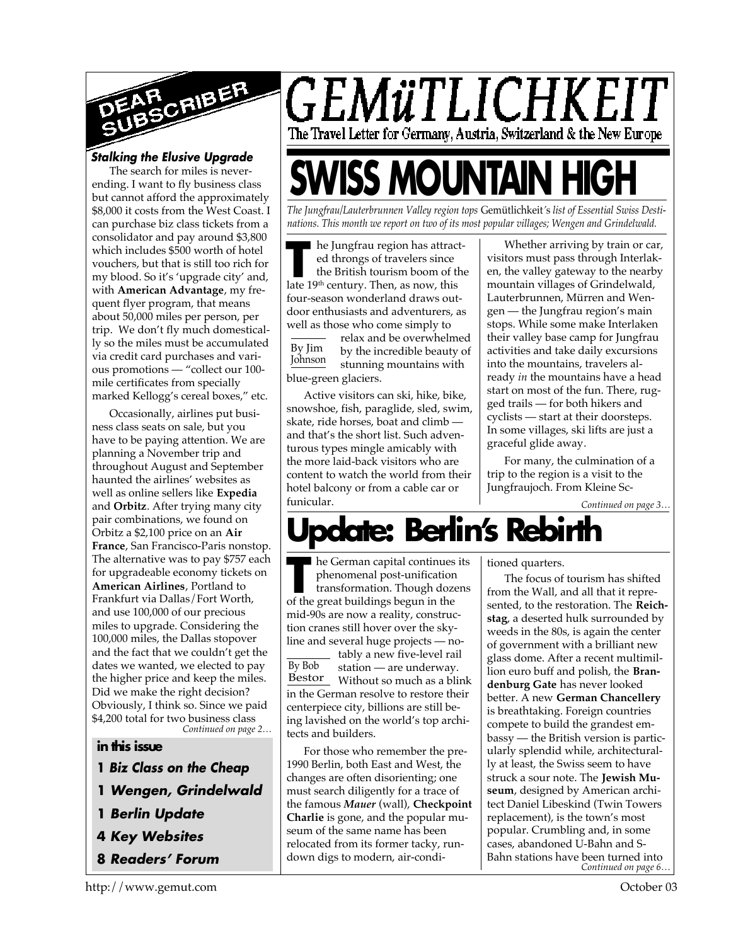

## *Stalking the Elusive Upgrade*

The search for miles is neverending. I want to fly business class but cannot afford the approximately \$8,000 it costs from the West Coast. I can purchase biz class tickets from a consolidator and pay around \$3,800 which includes \$500 worth of hotel vouchers, but that is still too rich for my blood. So it's 'upgrade city' and, with **American Advantage**, my frequent flyer program, that means about 50,000 miles per person, per trip. We don't fly much domestically so the miles must be accumulated via credit card purchases and various promotions — "collect our 100 mile certificates from specially marked Kellogg's cereal boxes," etc.

*Continued on page 2…* Occasionally, airlines put business class seats on sale, but you have to be paying attention. We are planning a November trip and throughout August and September haunted the airlines' websites as well as online sellers like **Expedia** and **Orbitz**. After trying many city pair combinations, we found on Orbitz a \$2,100 price on an **Air France**, San Francisco-Paris nonstop. The alternative was to pay \$757 each for upgradeable economy tickets on **American Airlines**, Portland to Frankfurt via Dallas/Fort Worth, and use 100,000 of our precious miles to upgrade. Considering the 100,000 miles, the Dallas stopover and the fact that we couldn't get the dates we wanted, we elected to pay the higher price and keep the miles. Did we make the right decision? Obviously, I think so. Since we paid \$4,200 total for two business class

#### **in this issue**

- **1** *Biz Class on the Cheap*
- **1** *Wengen, Grindelwald*
- **1** *Berlin Update*
- **4** *Key Websites*
- **8** *Readers' Forum*

GEMüTLICHKEIT The Travel Letter for Germany, Austria, Switzerland & the New Europe

# **SWISS MOUNTAIN HIGH**

*The Jungfrau/Lauterbrunnen Valley region tops* Gemütlichkeit*'*s *list of Essential Swiss Destinations. This month we report on two of its most popular villages; Wengen and Grindelwald.*

**The Jungfrau region has attraced throngs of travelers since the British tourism boom of that 19<sup>th</sup> century. Then, as now, this** he Jungfrau region has attracted throngs of travelers since the British tourism boom of the four-season wonderland draws outdoor enthusiasts and adventurers, as well as those who come simply to

By Jim Johnson relax and be overwhelmed by the incredible beauty of stunning mountains with blue-green glaciers.

Active visitors can ski, hike, bike, snowshoe, fish, paraglide, sled, swim, skate, ride horses, boat and climb and that's the short list. Such adventurous types mingle amicably with the more laid-back visitors who are content to watch the world from their hotel balcony or from a cable car or funicular.

Whether arriving by train or car, visitors must pass through Interlaken, the valley gateway to the nearby mountain villages of Grindelwald, Lauterbrunnen, Mürren and Wengen — the Jungfrau region's main stops. While some make Interlaken their valley base camp for Jungfrau activities and take daily excursions into the mountains, travelers already *in* the mountains have a head start on most of the fun. There, rugged trails — for both hikers and cyclists — start at their doorsteps. In some villages, ski lifts are just a graceful glide away.

For many, the culmination of a trip to the region is a visit to the Jungfraujoch. From Kleine Sc-

*Continued on page 3…*

## **Ipdate: Berlin's Rebir**

**THE SET TERM** is the German capital continues phenomenal post-unification transformation. Though doze of the great buildings begun in the ■ he German capital continues its phenomenal post-unification transformation. Though dozens mid-90s are now a reality, construction cranes still hover over the skyline and several huge projects — no-

By Bob Bestor Without so much as a blink tably a new five-level rail station — are underway. in the German resolve to restore their centerpiece city, billions are still being lavished on the world's top architects and builders.

For those who remember the pre-1990 Berlin, both East and West, the changes are often disorienting; one must search diligently for a trace of the famous *Mauer* (wall), **Checkpoint Charlie** is gone, and the popular museum of the same name has been relocated from its former tacky, rundown digs to modern, air-conditioned quarters.

*Continued on page 6…* The focus of tourism has shifted from the Wall, and all that it represented, to the restoration. The **Reichstag**, a deserted hulk surrounded by weeds in the 80s, is again the center of government with a brilliant new glass dome. After a recent multimillion euro buff and polish, the **Brandenburg Gate** has never looked better. A new **German Chancellery** is breathtaking. Foreign countries compete to build the grandest embassy — the British version is particularly splendid while, architecturally at least, the Swiss seem to have struck a sour note. The **Jewish Museum**, designed by American architect Daniel Libeskind (Twin Towers replacement), is the town's most popular. Crumbling and, in some cases, abandoned U-Bahn and S-Bahn stations have been turned into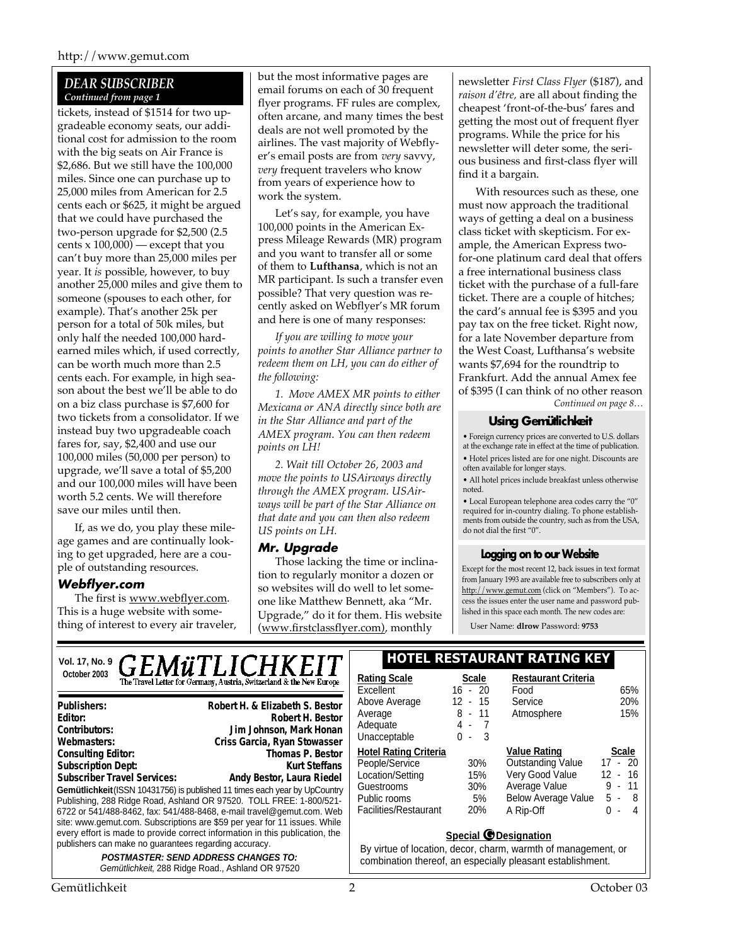## *DEAR SUBSCRIBER Continued from page 1*

tickets, instead of \$1514 for two upgradeable economy seats, our additional cost for admission to the room with the big seats on Air France is \$2,686. But we still have the 100,000 miles. Since one can purchase up to 25,000 miles from American for 2.5 cents each or \$625, it might be argued that we could have purchased the two-person upgrade for \$2,500 (2.5 cents  $x 100,000$  — except that you can't buy more than 25,000 miles per year. It *is* possible, however, to buy another 25,000 miles and give them to someone (spouses to each other, for example). That's another 25k per person for a total of 50k miles, but only half the needed 100,000 hardearned miles which, if used correctly, can be worth much more than 2.5 cents each. For example, in high season about the best we'll be able to do on a biz class purchase is \$7,600 for two tickets from a consolidator. If we instead buy two upgradeable coach fares for, say, \$2,400 and use our 100,000 miles (50,000 per person) to upgrade, we'll save a total of \$5,200 and our 100,000 miles will have been worth 5.2 cents. We will therefore save our miles until then.

If, as we do, you play these mileage games and are continually looking to get upgraded, here are a couple of outstanding resources.

## *Webflyer.com*

The first is www.webflyer.com. This is a huge website with something of interest to every air traveler, but the most informative pages are email forums on each of 30 frequent flyer programs. FF rules are complex, often arcane, and many times the best deals are not well promoted by the airlines. The vast majority of Webflyer's email posts are from *very* savvy, *very* frequent travelers who know from years of experience how to work the system.

Let's say, for example, you have 100,000 points in the American Express Mileage Rewards (MR) program and you want to transfer all or some of them to **Lufthansa**, which is not an MR participant. Is such a transfer even possible? That very question was recently asked on Webflyer's MR forum and here is one of many responses:

*If you are willing to move your points to another Star Alliance partner to redeem them on LH, you can do either of the following:*

*1. Move AMEX MR points to either Mexicana or ANA directly since both are in the Star Alliance and part of the AMEX program. You can then redeem points on LH!*

*2. Wait till October 26, 2003 and move the points to USAirways directly through the AMEX program. USAirways will be part of the Star Alliance on that date and you can then also redeem US points on LH.*

## *Mr. Upgrade*

Those lacking the time or inclination to regularly monitor a dozen or so websites will do well to let someone like Matthew Bennett, aka "Mr. Upgrade," do it for them. His website (www.firstclassflyer.com), monthly

newsletter *First Class Flyer* (\$187), and *raison d'être,* are all about finding the cheapest 'front-of-the-bus' fares and getting the most out of frequent flyer programs. While the price for his newsletter will deter some, the serious business and first-class flyer will find it a bargain.

*Continued on page 8…* With resources such as these, one must now approach the traditional ways of getting a deal on a business class ticket with skepticism. For example, the American Express twofor-one platinum card deal that offers a free international business class ticket with the purchase of a full-fare ticket. There are a couple of hitches; the card's annual fee is \$395 and you pay tax on the free ticket. Right now, for a late November departure from the West Coast, Lufthansa's website wants \$7,694 for the roundtrip to Frankfurt. Add the annual Amex fee of \$395 (I can think of no other reason

## **Using Gemütlichkeit**

• Foreign currency prices are converted to U.S. dollars at the exchange rate in effect at the time of publication. • Hotel prices listed are for one night. Discounts are

often available for longer stays.

• All hotel prices include breakfast unless otherwise noted.

• Local European telephone area codes carry the "0" required for in-country dialing. To phone establishments from outside the country, such as from the USA, do not dial the first "0".

## **Logging on to our Website**

Except for the most recent 12, back issues in text format from January 1993 are available free to subscribers only at http://www.gemut.com (click on "Members"). To access the issues enter the user name and password published in this space each month. The new codes are:

User Name: **dlrow** Password: **9753**

## Vol. 17, No. 9 **GEMÜTLICHKEIT** FLOTEL RESTAURANT RATING KEY **October 2003 Rating Scale Scale**

| <b>Publishers:</b>                                                                                                                                                                                                                                                                                                                                                                                                                               | Robert H. & Elizabeth S. Bestor |  |  |
|--------------------------------------------------------------------------------------------------------------------------------------------------------------------------------------------------------------------------------------------------------------------------------------------------------------------------------------------------------------------------------------------------------------------------------------------------|---------------------------------|--|--|
| Editor:                                                                                                                                                                                                                                                                                                                                                                                                                                          | Robert H. Bestor                |  |  |
| Contributors:                                                                                                                                                                                                                                                                                                                                                                                                                                    | Jim Johnson, Mark Honan         |  |  |
| Webmasters:                                                                                                                                                                                                                                                                                                                                                                                                                                      | Criss Garcia, Ryan Stowasser    |  |  |
| <b>Consulting Editor:</b>                                                                                                                                                                                                                                                                                                                                                                                                                        | <b>Thomas P. Bestor</b>         |  |  |
| <b>Subscription Dept:</b>                                                                                                                                                                                                                                                                                                                                                                                                                        | Kurt Steffans                   |  |  |
| <b>Subscriber Travel Services:</b>                                                                                                                                                                                                                                                                                                                                                                                                               | Andy Bestor, Laura Riedel       |  |  |
| Gemütlichkeit (ISSN 10431756) is published 11 times each year by UpCountry<br>Publishing, 288 Ridge Road, Ashland OR 97520. TOLL FREE: 1-800/521-<br>6722 or 541/488-8462, fax: 541/488-8468, e-mail travel@gemut.com. Web<br>site: www.gemut.com. Subscriptions are \$59 per year for 11 issues. While<br>every effort is made to provide correct information in this publication, the<br>publishers can make no quarantees regarding accuracy. |                                 |  |  |
| <b>POSTMASTER: SEND ADDRESS CHANGES TO:</b><br>Gemütlichkeit, 288 Ridge Road., Ashland OR 97520                                                                                                                                                                                                                                                                                                                                                  |                                 |  |  |

## **Restaurant Criteria**

| Excellent                    | 16 - 20               | Food                       | 65%          |
|------------------------------|-----------------------|----------------------------|--------------|
| Above Average                | 12 - 15               | Service                    | 20%          |
| Average                      | 8 - 11                | Atmosphere                 | 15%          |
| Adequate                     | 4 -<br>$\overline{7}$ |                            |              |
| Unacceptable                 | - 3<br>ი -            |                            |              |
| <b>Hotel Rating Criteria</b> |                       | <b>Value Rating</b>        | <b>Scale</b> |
| People/Service               | 30%                   | <b>Outstanding Value</b>   | $17 - 20$    |
| Location/Setting             | 15%                   | Very Good Value            | $12 - 16$    |
| Guestrooms                   | 30%                   | Average Value              | $9 - 11$     |
| Public rooms                 | 5%                    | <b>Below Average Value</b> | 5 -<br>-8    |
| Facilities/Restaurant        | 20%                   | A Rip-Off                  | -4<br>ი -    |
|                              |                       |                            |              |

## **Special G Designation**

By virtue of location, decor, charm, warmth of management, or combination thereof, an especially pleasant establishment.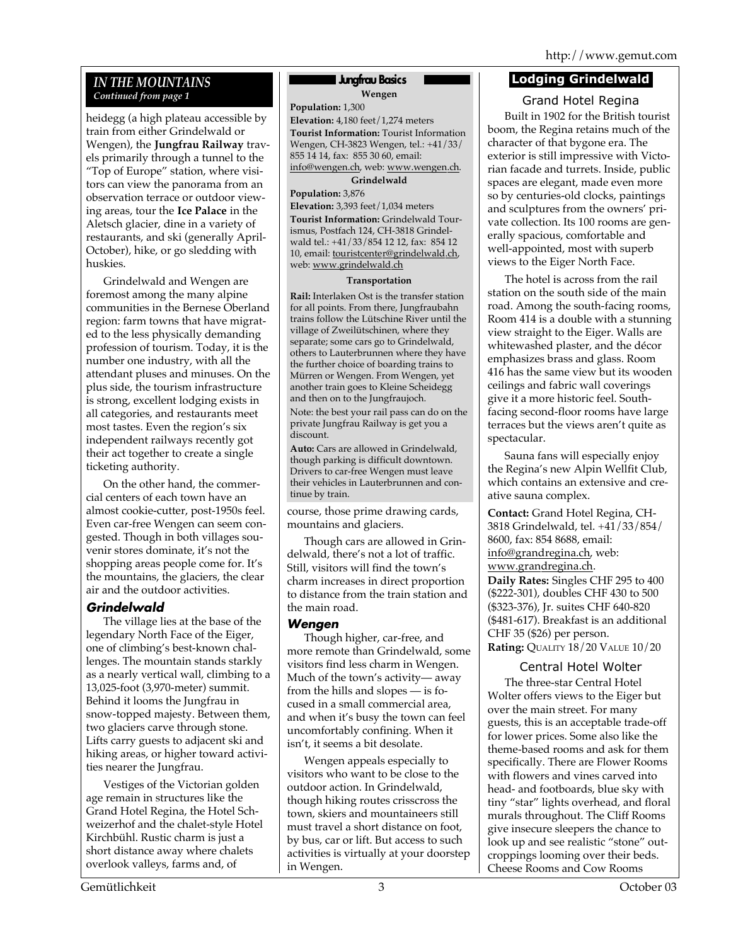## *IN THE MOUNTAINS Continued from page 1*

heidegg (a high plateau accessible by train from either Grindelwald or Wengen), the **Jungfrau Railway** travels primarily through a tunnel to the "Top of Europe" station, where visitors can view the panorama from an observation terrace or outdoor viewing areas, tour the **Ice Palace** in the Aletsch glacier, dine in a variety of restaurants, and ski (generally April-October), hike, or go sledding with huskies.

Grindelwald and Wengen are foremost among the many alpine communities in the Bernese Oberland region: farm towns that have migrated to the less physically demanding profession of tourism. Today, it is the number one industry, with all the attendant pluses and minuses. On the plus side, the tourism infrastructure is strong, excellent lodging exists in all categories, and restaurants meet most tastes. Even the region's six independent railways recently got their act together to create a single ticketing authority.

On the other hand, the commercial centers of each town have an almost cookie-cutter, post-1950s feel. Even car-free Wengen can seem congested. Though in both villages souvenir stores dominate, it's not the shopping areas people come for. It's the mountains, the glaciers, the clear air and the outdoor activities.

## *Grindelwald*

The village lies at the base of the legendary North Face of the Eiger, one of climbing's best-known challenges. The mountain stands starkly as a nearly vertical wall, climbing to a 13,025-foot (3,970-meter) summit. Behind it looms the Jungfrau in snow-topped majesty. Between them, two glaciers carve through stone. Lifts carry guests to adjacent ski and hiking areas, or higher toward activities nearer the Jungfrau.

Vestiges of the Victorian golden age remain in structures like the Grand Hotel Regina, the Hotel Schweizerhof and the chalet-style Hotel Kirchbühl. Rustic charm is just a short distance away where chalets overlook valleys, farms and, of

## **Jungfrau Basics**

**Wengen**

**Population:** 1,300

**Elevation:** 4,180 feet/1,274 meters **Tourist Information:** Tourist Information Wengen, CH-3823 Wengen, tel.: +41/33/ 855 14 14, fax: 855 30 60, email: info@wengen.ch, web: www.wengen.ch.

**Grindelwald**

**Population:** 3,876

**Elevation:** 3,393 feet/1,034 meters **Tourist Information:** Grindelwald Tourismus, Postfach 124, CH-3818 Grindelwald tel.: +41/33/854 12 12, fax: 854 12 10, email: touristcenter@grindelwald.ch, web: www.grindelwald.ch

#### **Transportation**

**Rail:** Interlaken Ost is the transfer station for all points. From there, Jungfraubahn trains follow the Lütschine River until the village of Zweilütschinen, where they separate; some cars go to Grindelwald, others to Lauterbrunnen where they have the further choice of boarding trains to Mürren or Wengen. From Wengen, yet another train goes to Kleine Scheidegg and then on to the Jungfraujoch. Note: the best your rail pass can do on the private Jungfrau Railway is get you a discount.

**Auto:** Cars are allowed in Grindelwald, though parking is difficult downtown. Drivers to car-free Wengen must leave their vehicles in Lauterbrunnen and continue by train.

course, those prime drawing cards, mountains and glaciers.

Though cars are allowed in Grindelwald, there's not a lot of traffic. Still, visitors will find the town's charm increases in direct proportion to distance from the train station and the main road.

## *Wengen*

Though higher, car-free, and more remote than Grindelwald, some visitors find less charm in Wengen. Much of the town's activity— away from the hills and slopes — is focused in a small commercial area, and when it's busy the town can feel uncomfortably confining. When it isn't, it seems a bit desolate.

Wengen appeals especially to visitors who want to be close to the outdoor action. In Grindelwald, though hiking routes crisscross the town, skiers and mountaineers still must travel a short distance on foot, by bus, car or lift. But access to such activities is virtually at your doorstep in Wengen.

## **Lodging Grindelwald**

Grand Hotel Regina Built in 1902 for the British tourist boom, the Regina retains much of the character of that bygone era. The exterior is still impressive with Victorian facade and turrets. Inside, public spaces are elegant, made even more so by centuries-old clocks, paintings and sculptures from the owners' private collection. Its 100 rooms are generally spacious, comfortable and well-appointed, most with superb views to the Eiger North Face.

The hotel is across from the rail station on the south side of the main road. Among the south-facing rooms, Room 414 is a double with a stunning view straight to the Eiger. Walls are whitewashed plaster, and the décor emphasizes brass and glass. Room 416 has the same view but its wooden ceilings and fabric wall coverings give it a more historic feel. Southfacing second-floor rooms have large terraces but the views aren't quite as spectacular.

Sauna fans will especially enjoy the Regina's new Alpin Wellfit Club, which contains an extensive and creative sauna complex.

**Contact:** Grand Hotel Regina, CH-3818 Grindelwald, tel. +41/33/854/ 8600, fax: 854 8688, email: info@grandregina.ch, web: www.grandregina.ch. **Daily Rates:** Singles CHF 295 to 400 (\$222-301), doubles CHF 430 to 500 (\$323-376), Jr. suites CHF 640-820 (\$481-617). Breakfast is an additional CHF 35 (\$26) per person. **Rating:** QUALITY 18/20 VALUE 10/20

## Central Hotel Wolter

The three-star Central Hotel Wolter offers views to the Eiger but over the main street. For many guests, this is an acceptable trade-off for lower prices. Some also like the theme-based rooms and ask for them specifically. There are Flower Rooms with flowers and vines carved into head- and footboards, blue sky with tiny "star" lights overhead, and floral murals throughout. The Cliff Rooms give insecure sleepers the chance to look up and see realistic "stone" outcroppings looming over their beds. Cheese Rooms and Cow Rooms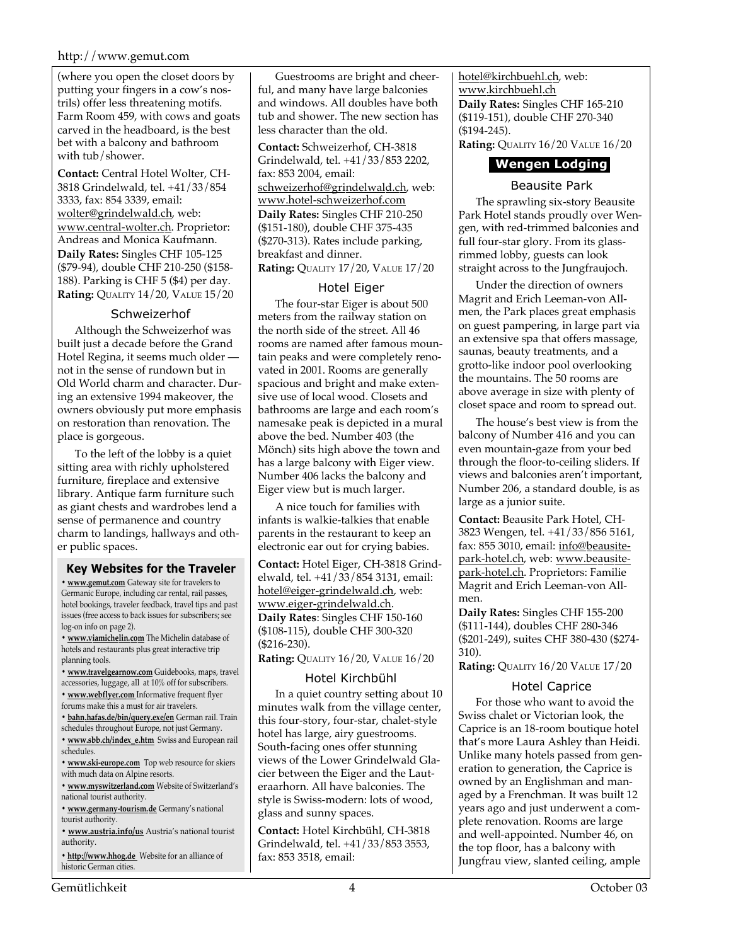#### http://www.gemut.com

(where you open the closet doors by putting your fingers in a cow's nostrils) offer less threatening motifs. Farm Room 459, with cows and goats carved in the headboard, is the best bet with a balcony and bathroom with tub/shower.

**Contact:** Central Hotel Wolter, CH-3818 Grindelwald, tel. +41/33/854 3333, fax: 854 3339, email: wolter@grindelwald.ch, web: www.central-wolter.ch. Proprietor: Andreas and Monica Kaufmann. **Daily Rates:** Singles CHF 105-125 (\$79-94), double CHF 210-250 (\$158- 188). Parking is CHF 5 (\$4) per day. **Rating:** QUALITY 14/20, VALUE 15/20

#### Schweizerhof

Although the Schweizerhof was built just a decade before the Grand Hotel Regina, it seems much older not in the sense of rundown but in Old World charm and character. During an extensive 1994 makeover, the owners obviously put more emphasis on restoration than renovation. The place is gorgeous.

To the left of the lobby is a quiet sitting area with richly upholstered furniture, fireplace and extensive library. Antique farm furniture such as giant chests and wardrobes lend a sense of permanence and country charm to landings, hallways and other public spaces.

#### **Key Websites for the Traveler**

**• www.gemut.com** Gateway site for travelers to Germanic Europe, including car rental, rail passes, hotel bookings, traveler feedback, travel tips and past issues (free access to back issues for subscribers; see log-on info on page 2).

**• www.viamichelin.com** The Michelin database of hotels and restaurants plus great interactive trip planning tools.

**• www.travelgearnow.com** Guidebooks, maps, travel accessories, luggage, all at 10% off for subscribers.

**• www.webflyer.com** Informative frequent flyer

forums make this a must for air travelers.

**• bahn.hafas.de/bin/query.exe/en** German rail. Train schedules throughout Europe, not just Germany.

**• www.sbb.ch/index\_e.htm** Swiss and European rail schedules.

**• www.ski-europe.com** Top web resource for skiers with much data on Alpine resorts.

**• www.myswitzerland.com** Website of Switzerland's national tourist authority.

**• www.germany-tourism.de** Germany's national tourist authority.

**• www.austria.info/us** Austria's national tourist authority.

**• http://www.hhog.de** Website for an alliance of historic German cities.

Guestrooms are bright and cheerful, and many have large balconies and windows. All doubles have both tub and shower. The new section has less character than the old.

**Contact:** Schweizerhof, CH-3818 Grindelwald, tel. +41/33/853 2202, fax: 853 2004, email: schweizerhof@grindelwald.ch, web: www.hotel-schweizerhof.com **Daily Rates:** Singles CHF 210-250 (\$151-180), double CHF 375-435 (\$270-313). Rates include parking, breakfast and dinner. **Rating:** QUALITY 17/20, VALUE 17/20

## Hotel Eiger

The four-star Eiger is about 500 meters from the railway station on the north side of the street. All 46 rooms are named after famous mountain peaks and were completely renovated in 2001. Rooms are generally spacious and bright and make extensive use of local wood. Closets and bathrooms are large and each room's namesake peak is depicted in a mural above the bed. Number 403 (the Mönch) sits high above the town and has a large balcony with Eiger view. Number 406 lacks the balcony and Eiger view but is much larger.

A nice touch for families with infants is walkie-talkies that enable parents in the restaurant to keep an electronic ear out for crying babies.

**Contact:** Hotel Eiger, CH-3818 Grindelwald, tel. +41/33/854 3131, email: hotel@eiger-grindelwald.ch, web: www.eiger-grindelwald.ch. **Daily Rates**: Singles CHF 150-160 (\$108-115), double CHF 300-320 (\$216-230).

**Rating:** QUALITY 16/20, VALUE 16/20

## Hotel Kirchbühl

In a quiet country setting about 10 minutes walk from the village center, this four-story, four-star, chalet-style hotel has large, airy guestrooms. South-facing ones offer stunning views of the Lower Grindelwald Glacier between the Eiger and the Lauteraarhorn. All have balconies. The style is Swiss-modern: lots of wood, glass and sunny spaces.

**Contact:** Hotel Kirchbühl, CH-3818 Grindelwald, tel. +41/33/853 3553, fax: 853 3518, email:

hotel@kirchbuehl.ch, web: www.kirchbuehl.ch **Daily Rates:** Singles CHF 165-210 (\$119-151), double CHF 270-340 (\$194-245). **Rating:** QUALITY 16/20 VALUE 16/20

## **Wengen Lodging**

#### Beausite Park

The sprawling six-story Beausite Park Hotel stands proudly over Wengen, with red-trimmed balconies and full four-star glory. From its glassrimmed lobby, guests can look straight across to the Jungfraujoch.

Under the direction of owners Magrit and Erich Leeman-von Allmen, the Park places great emphasis on guest pampering, in large part via an extensive spa that offers massage, saunas, beauty treatments, and a grotto-like indoor pool overlooking the mountains. The 50 rooms are above average in size with plenty of closet space and room to spread out.

The house's best view is from the balcony of Number 416 and you can even mountain-gaze from your bed through the floor-to-ceiling sliders. If views and balconies aren't important, Number 206, a standard double, is as large as a junior suite.

**Contact:** Beausite Park Hotel, CH-3823 Wengen, tel. +41/33/856 5161, fax: 855 3010, email: info@beausitepark-hotel.ch, web: www.beausitepark-hotel.ch. Proprietors: Familie Magrit and Erich Leeman-von Allmen.

**Daily Rates:** Singles CHF 155-200 (\$111-144), doubles CHF 280-346 (\$201-249), suites CHF 380-430 (\$274- 310).

**Rating:** QUALITY 16/20 VALUE 17/20

## Hotel Caprice

For those who want to avoid the Swiss chalet or Victorian look, the Caprice is an 18-room boutique hotel that's more Laura Ashley than Heidi. Unlike many hotels passed from generation to generation, the Caprice is owned by an Englishman and managed by a Frenchman. It was built 12 years ago and just underwent a complete renovation. Rooms are large and well-appointed. Number 46, on the top floor, has a balcony with Jungfrau view, slanted ceiling, ample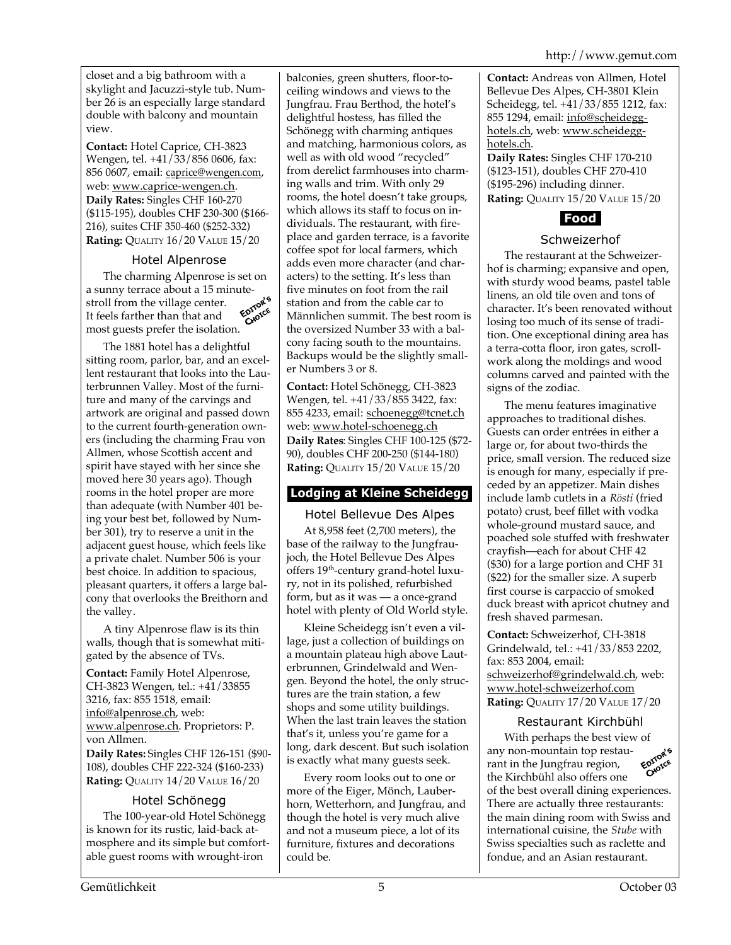closet and a big bathroom with a skylight and Jacuzzi-style tub. Number 26 is an especially large standard double with balcony and mountain view.

**Contact:** Hotel Caprice, CH-3823 Wengen, tel. +41/33/856 0606, fax: 856 0607, email: caprice@wengen.com, web: www.caprice-wengen.ch. **Daily Rates:** Singles CHF 160-270 (\$115-195), doubles CHF 230-300 (\$166- 216), suites CHF 350-460 (\$252-332) **Rating:** QUALITY 16/20 VALUE 15/20

## Hotel Alpenrose

The charming Alpenrose is set on a sunny terrace about a 15 minute-<br>stroll from the village center. stroll from the village center. CHOICE It feels farther than that and most guests prefer the isolation.

The 1881 hotel has a delightful sitting room, parlor, bar, and an excellent restaurant that looks into the Lauterbrunnen Valley. Most of the furniture and many of the carvings and artwork are original and passed down to the current fourth-generation owners (including the charming Frau von Allmen, whose Scottish accent and spirit have stayed with her since she moved here 30 years ago). Though rooms in the hotel proper are more than adequate (with Number 401 being your best bet, followed by Number 301), try to reserve a unit in the adjacent guest house, which feels like a private chalet. Number 506 is your best choice. In addition to spacious, pleasant quarters, it offers a large balcony that overlooks the Breithorn and the valley.

A tiny Alpenrose flaw is its thin walls, though that is somewhat mitigated by the absence of TVs.

**Contact:** Family Hotel Alpenrose, CH-3823 Wengen, tel.: +41/33855 3216, fax: 855 1518, email: info@alpenrose.ch, web: www.alpenrose.ch. Proprietors: P. von Allmen. **Daily Rates:** Singles CHF 126-151 (\$90- 108), doubles CHF 222-324 (\$160-233) **Rating:** QUALITY 14/20 VALUE 16/20

## Hotel Schönegg

The 100-year-old Hotel Schönegg is known for its rustic, laid-back atmosphere and its simple but comfortable guest rooms with wrought-iron

balconies, green shutters, floor-toceiling windows and views to the Jungfrau. Frau Berthod, the hotel's delightful hostess, has filled the Schönegg with charming antiques and matching, harmonious colors, as well as with old wood "recycled" from derelict farmhouses into charming walls and trim. With only 29 rooms, the hotel doesn't take groups, which allows its staff to focus on individuals. The restaurant, with fireplace and garden terrace, is a favorite coffee spot for local farmers, which adds even more character (and characters) to the setting. It's less than five minutes on foot from the rail station and from the cable car to Männlichen summit. The best room is the oversized Number 33 with a balcony facing south to the mountains. Backups would be the slightly smaller Numbers 3 or 8.

**Contact:** Hotel Schönegg, CH-3823 Wengen, tel. +41/33/855 3422, fax: 855 4233, email: schoenegg@tcnet.ch web: www.hotel-schoenegg.ch **Daily Rates**: Singles CHF 100-125 (\$72- 90), doubles CHF 200-250 (\$144-180) **Rating:** QUALITY 15/20 VALUE 15/20

## **Lodging at Kleine Scheidegg**

Hotel Bellevue Des Alpes

At 8,958 feet (2,700 meters), the base of the railway to the Jungfraujoch, the Hotel Bellevue Des Alpes offers 19th-century grand-hotel luxury, not in its polished, refurbished form, but as it was — a once-grand hotel with plenty of Old World style.

Kleine Scheidegg isn't even a village, just a collection of buildings on a mountain plateau high above Lauterbrunnen, Grindelwald and Wengen. Beyond the hotel, the only structures are the train station, a few shops and some utility buildings. When the last train leaves the station that's it, unless you're game for a long, dark descent. But such isolation is exactly what many guests seek.

Every room looks out to one or more of the Eiger, Mönch, Lauberhorn, Wetterhorn, and Jungfrau, and though the hotel is very much alive and not a museum piece, a lot of its furniture, fixtures and decorations could be.

**Contact:** Andreas von Allmen, Hotel Bellevue Des Alpes, CH-3801 Klein Scheidegg, tel. +41/33/855 1212, fax: 855 1294, email: info@scheidegghotels.ch, web: www.scheidegghotels.ch.

**Daily Rates:** Singles CHF 170-210 (\$123-151), doubles CHF 270-410 (\$195-296) including dinner. **Rating:** QUALITY 15/20 VALUE 15/20



## Schweizerhof

The restaurant at the Schweizerhof is charming; expansive and open, with sturdy wood beams, pastel table linens, an old tile oven and tons of character. It's been renovated without losing too much of its sense of tradition. One exceptional dining area has a terra-cotta floor, iron gates, scrollwork along the moldings and wood columns carved and painted with the signs of the zodiac.

The menu features imaginative approaches to traditional dishes. Guests can order entrées in either a large or, for about two-thirds the price, small version. The reduced size is enough for many, especially if preceded by an appetizer. Main dishes include lamb cutlets in a *Rösti* (fried potato) crust, beef fillet with vodka whole-ground mustard sauce, and poached sole stuffed with freshwater crayfish—each for about CHF 42 (\$30) for a large portion and CHF 31 (\$22) for the smaller size. A superb first course is carpaccio of smoked duck breast with apricot chutney and fresh shaved parmesan.

**Contact:** Schweizerhof, CH-3818 Grindelwald, tel.: +41/33/853 2202, fax: 853 2004, email: schweizerhof@grindelwald.ch, web: www.hotel-schweizerhof.com **Rating:** QUALITY 17/20 VALUE 17/20

## Restaurant Kirchbühl

With perhaps the best view of<br>  $\frac{1}{2}$  non-mountain top restau-<br>
t in the Junofrance any non-mountain top restau-EDITOR rant in the Jungfrau region, the Kirchbühl also offers one of the best overall dining experiences. There are actually three restaurants: the main dining room with Swiss and international cuisine, the *Stube* with Swiss specialties such as raclette and fondue, and an Asian restaurant.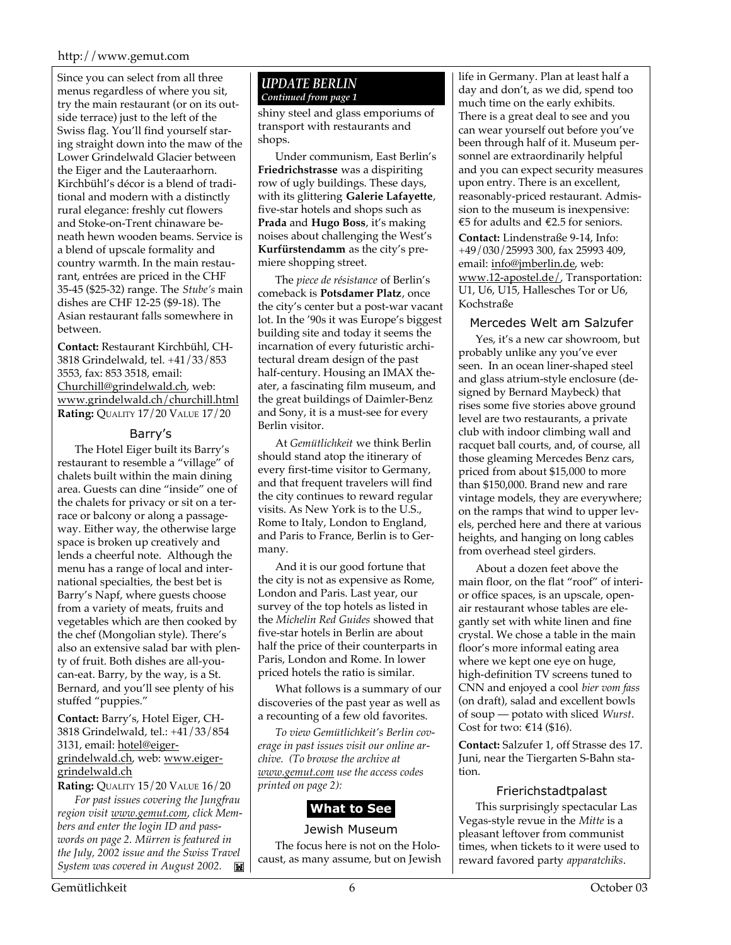#### http://www.gemut.com

Since you can select from all three menus regardless of where you sit, try the main restaurant (or on its outside terrace) just to the left of the Swiss flag. You'll find yourself staring straight down into the maw of the Lower Grindelwald Glacier between the Eiger and the Lauteraarhorn. Kirchbühl's décor is a blend of traditional and modern with a distinctly rural elegance: freshly cut flowers and Stoke-on-Trent chinaware beneath hewn wooden beams. Service is a blend of upscale formality and country warmth. In the main restaurant, entrées are priced in the CHF 35-45 (\$25-32) range. The *Stube's* main dishes are CHF 12-25 (\$9-18). The Asian restaurant falls somewhere in between.

**Contact:** Restaurant Kirchbühl, CH-3818 Grindelwald, tel. +41/33/853 3553, fax: 853 3518, email: Churchill@grindelwald.ch, web: www.grindelwald.ch/churchill.html **Rating:** QUALITY 17/20 VALUE 17/20

#### Barry's

The Hotel Eiger built its Barry's restaurant to resemble a "village" of chalets built within the main dining area. Guests can dine "inside" one of the chalets for privacy or sit on a terrace or balcony or along a passageway. Either way, the otherwise large space is broken up creatively and lends a cheerful note. Although the menu has a range of local and international specialties, the best bet is Barry's Napf, where guests choose from a variety of meats, fruits and vegetables which are then cooked by the chef (Mongolian style). There's also an extensive salad bar with plenty of fruit. Both dishes are all-youcan-eat. Barry, by the way, is a St. Bernard, and you'll see plenty of his stuffed "puppies."

#### **Contact:** Barry's, Hotel Eiger, CH-3818 Grindelwald, tel.: +41/33/854 3131, email: hotel@eigergrindelwald.ch, web: www.eigergrindelwald.ch

**Rating:** QUALITY 15/20 VALUE 16/20

*For past issues covering the Jungfrau region visit www.gemut.com, click Members and enter the login ID and passwords on page 2. Mürren is featured in the July, 2002 issue and the Swiss Travel System was covered in August 2002.*  $\mathbf{K}$ 

#### *UPDATE BERLIN Continued from page 1*

shiny steel and glass emporiums of transport with restaurants and shops.

Under communism, East Berlin's **Friedrichstrasse** was a dispiriting row of ugly buildings. These days, with its glittering **Galerie Lafayette**, five-star hotels and shops such as **Prada** and **Hugo Boss**, it's making noises about challenging the West's **Kurfürstendamm** as the city's premiere shopping street.

The *piece de résistance* of Berlin's comeback is **Potsdamer Platz**, once the city's center but a post-war vacant lot. In the '90s it was Europe's biggest building site and today it seems the incarnation of every futuristic architectural dream design of the past half-century. Housing an IMAX theater, a fascinating film museum, and the great buildings of Daimler-Benz and Sony, it is a must-see for every Berlin visitor.

At *Gemütlichkeit* we think Berlin should stand atop the itinerary of every first-time visitor to Germany, and that frequent travelers will find the city continues to reward regular visits. As New York is to the U.S., Rome to Italy, London to England, and Paris to France, Berlin is to Germany.

And it is our good fortune that the city is not as expensive as Rome, London and Paris. Last year, our survey of the top hotels as listed in the *Michelin Red Guides* showed that five-star hotels in Berlin are about half the price of their counterparts in Paris, London and Rome. In lower priced hotels the ratio is similar.

What follows is a summary of our discoveries of the past year as well as a recounting of a few old favorites.

*To view Gemütlichkeit's Berlin coverage in past issues visit our online archive. (To browse the archive at www.gemut.com use the access codes printed on page 2):*

## **What to See**

Jewish Museum The focus here is not on the Holocaust, as many assume, but on Jewish life in Germany. Plan at least half a day and don't, as we did, spend too much time on the early exhibits. There is a great deal to see and you can wear yourself out before you've been through half of it. Museum personnel are extraordinarily helpful and you can expect security measures upon entry. There is an excellent, reasonably-priced restaurant. Admission to the museum is inexpensive: €5 for adults and €2.5 for seniors. **Contact:** Lindenstraße 9-14, Info: +49/030/25993 300, fax 25993 409, email: info@jmberlin.de, web: www.12-apostel.de/, Transportation: U1, U6, U15, Hallesches Tor or U6, Kochstraße

## Mercedes Welt am Salzufer

Yes, it's a new car showroom, but probably unlike any you've ever seen. In an ocean liner-shaped steel and glass atrium-style enclosure (designed by Bernard Maybeck) that rises some five stories above ground level are two restaurants, a private club with indoor climbing wall and racquet ball courts, and, of course, all those gleaming Mercedes Benz cars, priced from about \$15,000 to more than \$150,000. Brand new and rare vintage models, they are everywhere; on the ramps that wind to upper levels, perched here and there at various heights, and hanging on long cables from overhead steel girders.

About a dozen feet above the main floor, on the flat "roof" of interior office spaces, is an upscale, openair restaurant whose tables are elegantly set with white linen and fine crystal. We chose a table in the main floor's more informal eating area where we kept one eye on huge, high-definition TV screens tuned to CNN and enjoyed a cool *bier vom fass* (on draft), salad and excellent bowls of soup — potato with sliced *Wurst*. Cost for two:  $€14$  (\$16).

**Contact:** Salzufer 1, off Strasse des 17. Juni, near the Tiergarten S-Bahn station.

## Frierichstadtpalast

This surprisingly spectacular Las Vegas-style revue in the *Mitte* is a pleasant leftover from communist times, when tickets to it were used to reward favored party *apparatchiks*.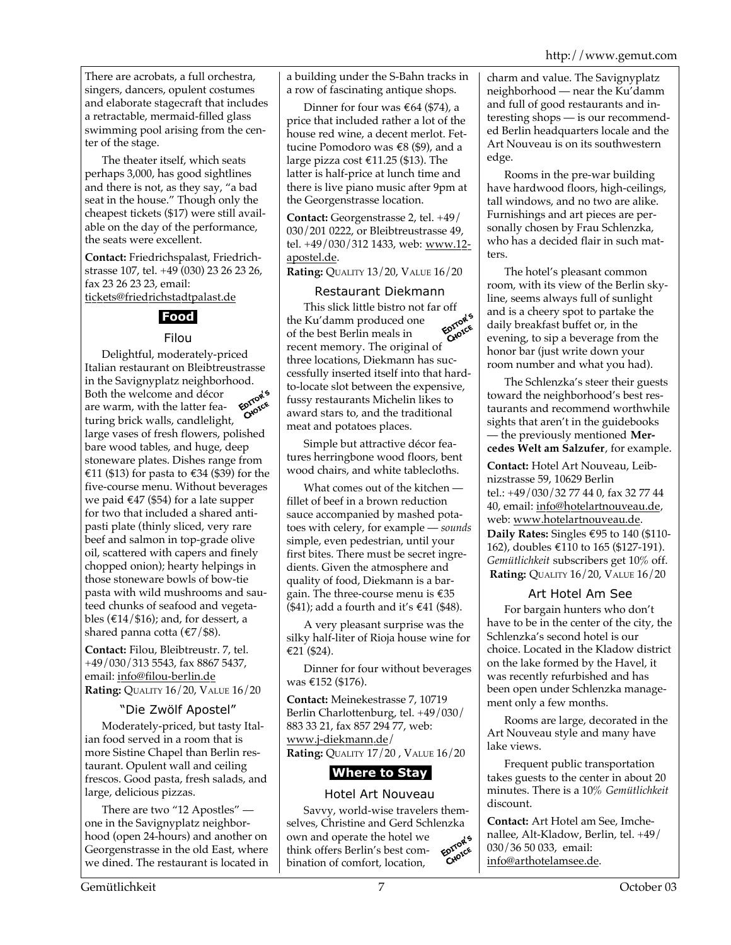There are acrobats, a full orchestra, singers, dancers, opulent costumes and elaborate stagecraft that includes a retractable, mermaid-filled glass swimming pool arising from the center of the stage.

The theater itself, which seats perhaps 3,000, has good sightlines and there is not, as they say, "a bad seat in the house." Though only the cheapest tickets (\$17) were still available on the day of the performance, the seats were excellent.

**Contact:** Friedrichspalast, Friedrichstrasse 107, tel. +49 (030) 23 26 23 26, fax 23 26 23 23, email: tickets@friedrichstadtpalast.de

## **Food**

## Filou

Delightful, moderately-priced Italian restaurant on Bleibtreustrasse in the Savignyplatz neighborhood. Both the welcome and décor **EDITORE** are warm, with the latter featuring brick walls, candlelight, large vases of fresh flowers, polished bare wood tables, and huge, deep stoneware plates. Dishes range from €11 (\$13) for pasta to €34 (\$39) for the five-course menu. Without beverages we paid  $\epsilon$ 47 (\$54) for a late supper for two that included a shared antipasti plate (thinly sliced, very rare beef and salmon in top-grade olive oil, scattered with capers and finely chopped onion); hearty helpings in those stoneware bowls of bow-tie pasta with wild mushrooms and sauteed chunks of seafood and vegetables ( $\text{\textsterling}14/\text{\textsterling}16$ ); and, for dessert, a shared panna cotta (€7/\$8).

**Contact:** Filou, Bleibtreustr. 7, tel. +49/030/313 5543, fax 8867 5437, email: info@filou-berlin.de **Rating:** QUALITY 16/20, VALUE 16/20

## "Die Zwölf Apostel"

Moderately-priced, but tasty Italian food served in a room that is more Sistine Chapel than Berlin restaurant. Opulent wall and ceiling frescos. Good pasta, fresh salads, and large, delicious pizzas.

There are two "12 Apostles" one in the Savignyplatz neighborhood (open 24-hours) and another on Georgenstrasse in the old East, where we dined. The restaurant is located in a building under the S-Bahn tracks in a row of fascinating antique shops.

Dinner for four was  $\epsilon$ 64 (\$74), a price that included rather a lot of the house red wine, a decent merlot. Fettucine Pomodoro was €8 (\$9), and a large pizza cost €11.25 (\$13). The latter is half-price at lunch time and there is live piano music after 9pm at the Georgenstrasse location.

**Contact:** Georgenstrasse 2, tel. +49/ 030/201 0222, or Bleibtreustrasse 49, tel. +49/030/312 1433, web: www.12 apostel.de.

**Rating: QUALITY 13/20, VALUE 16/20** 

## Restaurant Diekmann

This slick little bistro not far off<br>Ku'damm produced one the Ku'damm produced one EDITOR of the best Berlin meals in recent memory. The original of three locations, Diekmann has successfully inserted itself into that hardto-locate slot between the expensive, fussy restaurants Michelin likes to award stars to, and the traditional meat and potatoes places.

Simple but attractive décor features herringbone wood floors, bent wood chairs, and white tablecloths.

What comes out of the kitchen fillet of beef in a brown reduction sauce accompanied by mashed potatoes with celery, for example — *sounds* simple, even pedestrian, until your first bites. There must be secret ingredients. Given the atmosphere and quality of food, Diekmann is a bargain. The three-course menu is  $\epsilon$ 35 (\$41); add a fourth and it's €41 (\$48).

A very pleasant surprise was the silky half-liter of Rioja house wine for €21 (\$24).

Dinner for four without beverages was €152 (\$176).

**Contact:** Meinekestrasse 7, 10719 Berlin Charlottenburg, tel. +49/030/ 883 33 21, fax 857 294 77, web: www.j-diekmann.de/ **Rating:** QUALITY 17/20 , VALUE 16/20

## **Where to Stay**

## Hotel Art Nouveau

Savvy, world-wise travelers themselves, Christine and Gerd Schlenzka<br>own and operate the hotel we<br>think offers Berlin's host of own and operate the hotel we Epironce think offers Berlin's best combination of comfort, location,

charm and value. The Savignyplatz neighborhood — near the Ku'damm and full of good restaurants and interesting shops — is our recommended Berlin headquarters locale and the Art Nouveau is on its southwestern edge.

Rooms in the pre-war building have hardwood floors, high-ceilings, tall windows, and no two are alike. Furnishings and art pieces are personally chosen by Frau Schlenzka, who has a decided flair in such matters.

The hotel's pleasant common room, with its view of the Berlin skyline, seems always full of sunlight and is a cheery spot to partake the daily breakfast buffet or, in the evening, to sip a beverage from the honor bar (just write down your room number and what you had).

The Schlenzka's steer their guests toward the neighborhood's best restaurants and recommend worthwhile sights that aren't in the guidebooks — the previously mentioned **Mercedes Welt am Salzufer**, for example.

**Contact:** Hotel Art Nouveau, Leibnizstrasse 59, 10629 Berlin tel.: +49/030/32 77 44 0, fax 32 77 44 40, email: info@hotelartnouveau.de, web: www.hotelartnouveau.de. **Daily Rates:** Singles €95 to 140 (\$110- 162), doubles €110 to 165 (\$127-191). *Gemütlichkeit* subscribers get 10% off. **Rating:** QUALITY 16/20, VALUE 16/20

## Art Hotel Am See

For bargain hunters who don't have to be in the center of the city, the Schlenzka's second hotel is our choice. Located in the Kladow district on the lake formed by the Havel, it was recently refurbished and has been open under Schlenzka management only a few months.

Rooms are large, decorated in the Art Nouveau style and many have lake views.

Frequent public transportation takes guests to the center in about 20 minutes. There is a 10% *Gemütlichkeit* discount.

**Contact:** Art Hotel am See, Imchenallee, Alt-Kladow, Berlin, tel. +49/ 030/36 50 033, email: info@arthotelamsee.de.